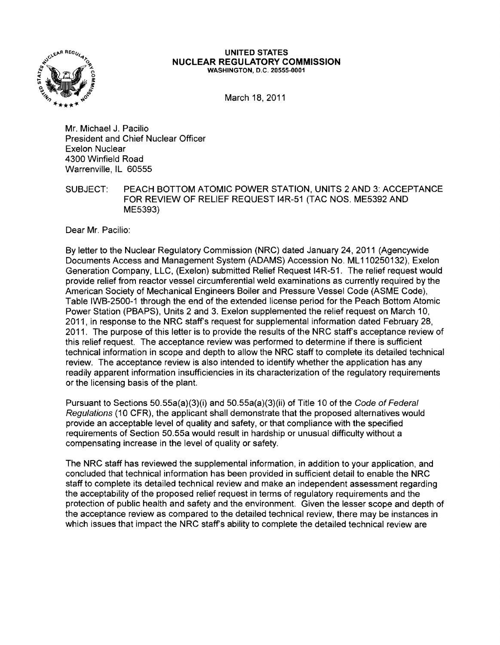

## UNITED STATES NUCLEAR REGULATORY COMMISSION WASHINGTON, D.C. 20555-0001

March 18, 2011

Mr. Michael J. Pacilio President and Chief Nuclear Officer Exelon Nuclear 4300 Winfield Road Warrenville, IL 60555

SUBJECT: PEACH BOTTOM ATOMIC POWER STATION, UNITS 2 AND 3: ACCEPTANCE FOR REVIEW OF RELIEF REQUEST 14R-51 (TAC NOS. ME5392 AND ME5393)

Dear Mr. Pacilio:

By letter to the Nuclear Regulatory Commission (NRC) dated January 24, 2011 (Agencywide Documents Access and Management System (ADAMS) Accession No. ML 110250132), Exelon Generation Company, LLC, (Exelon) submitted Relief Request 14R-51. The relief request would provide relief from reactor vessel circumferential weld examinations as currently required by the American Society of Mechanical Engineers Boiler and Pressure Vessel Code (ASME Code), Table IWB-2500-1 through the end of the extended license period for the Peach Bottom Atomic Power Station (PBAPS), Units 2 and 3. Exelon supplemented the relief request on March 10, 2011, in response to the NRC staffs request for supplemental information dated February 28, 2011. The purpose of this letter is to provide the results of the NRC staffs acceptance review of this relief request. The acceptance review was performed to determine if there is sufficient technical information in scope and depth to allow the NRC staff to complete its detailed technical review. The acceptance review is also intended to identify whether the application has any readily apparent information insufficiencies in its characterization of the regulatory requirements or the licensing basis of the plant.

Pursuant to Sections 50.55a(a)(3)(i) and 50.55a(a)(3)(ii) of Title 10 of the Code of Federal Regulations (10 CFR). the applicant shall demonstrate that the proposed alternatives would provide an acceptable level of quality and safety, or that compliance with the specified reqUirements of Section 50.55a would result in hardship or unusual difficulty without a compensating increase in the level of quality or safety.

The NRC staff has reviewed the supplemental information, in addition to your application, and concluded that technical information has been provided in sufficient detail to enable the NRC staff to complete its detailed technical review and make an independent assessment regarding the acceptability of the proposed relief request in terms of regulatory requirements and the protection of public health and safety and the environment. Given the lesser scope and depth of the acceptance review as compared to the detailed technical review, there may be instances in which issues that impact the NRC staff's ability to complete the detailed technical review are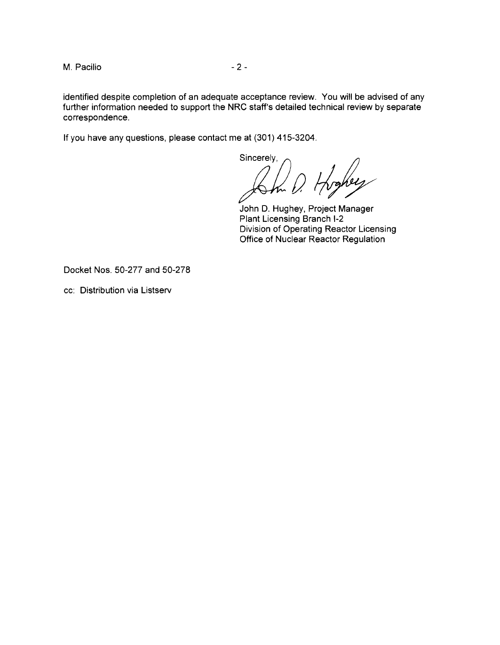M. Pacilio  $-2-$ 

identified despite completion of an adequate acceptance review. You will be advised of any further information needed to support the NRC staff's detailed technical review by separate correspondence.

If you have any questions, please contact me at (301) 415-3204.

Sincerely,<br>*porto 0.*  $\frac{1}{2}$ 

John D. Hughey, Project Manager Plant Licensing Branch 1-2 Division of Operating Reactor Licensing Office of Nuclear Reactor Regulation

Docket Nos. 50-277 and 50-278

cc: Distribution via Listserv